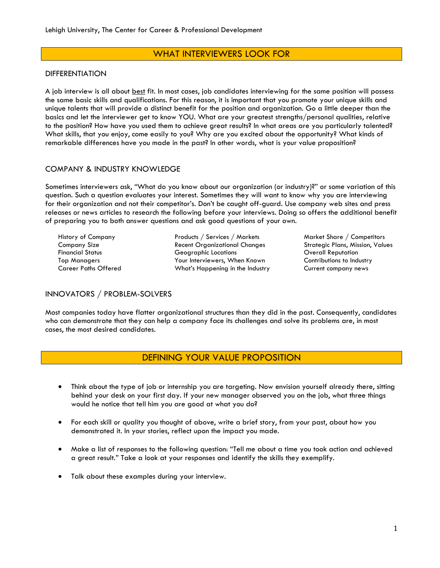# WHAT INTERVIEWERS LOOK FOR

### DIFFERENTIATION

A job interview is all about best fit. In most cases, job candidates interviewing for the same position will possess the same basic skills and qualifications. For this reason, it is important that you promote your unique skills and unique talents that will provide a distinct benefit for the position and organization. Go a little deeper than the basics and let the interviewer get to know YOU. What are your greatest strengths/personal qualities, relative to the position? How have you used them to achieve great results? In what areas are you particularly talented? What skills, that you enjoy, come easily to you? Why are you excited about the opportunity? What kinds of remarkable differences have you made in the past? In other words, what is your value proposition?

## COMPANY & INDUSTRY KNOWLEDGE

Sometimes interviewers ask, "What do you know about our organization (or industry)?" or some variation of this question. Such a question evaluates your interest. Sometimes they will want to know why you are interviewing for their organization and not their competitor's. Don't be caught off-guard. Use company web sites and press releases or news articles to research the following before your interviews. Doing so offers the additional benefit of preparing you to both answer questions and ask good questions of your own.

| History of Company          |
|-----------------------------|
| Company Size                |
| <b>Financial Status</b>     |
| <b>Top Managers</b>         |
| <b>Career Paths Offered</b> |

Products / Services / Markets Market Share / Competitors Recent Organizational Changes Strategic Plans, Mission, Values Geographic Locations **Financial Status Contract Contract** Overall Reputation Your Interviewers, When Known Contributions to Industry What's Happening in the Industry **Current company news** 

# INNOVATORS / PROBLEM-SOLVERS

Most companies today have flatter organizational structures than they did in the past. Consequently, candidates who can demonstrate that they can help a company face its challenges and solve its problems are, in most cases, the most desired candidates.

# DEFINING YOUR VALUE PROPOSITION

- Think about the type of job or internship you are targeting. Now envision yourself already there, sitting behind your desk on your first day. If your new manager observed you on the job, what three things would he notice that tell him you are good at what you do?
- For each skill or quality you thought of above, write a brief story, from your past, about how you demonstrated it. In your stories, reflect upon the impact you made.
- Make a list of responses to the following question: "Tell me about a time you took action and achieved a great result." Take a look at your responses and identify the skills they exemplify.
- Talk about these examples during your interview.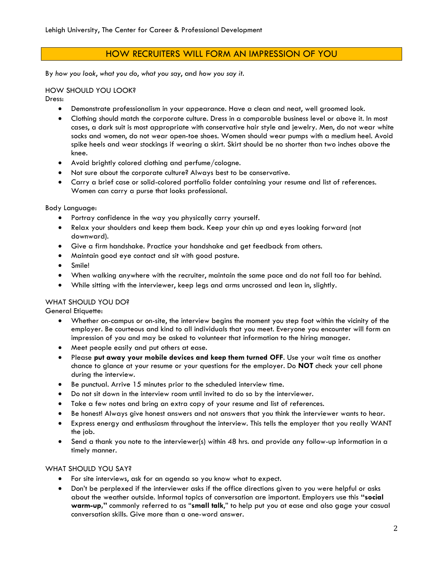# HOW RECRUITERS WILL FORM AN IMPRESSION OF YOU

By *how you look*, *what you do*, *what you say*, and *how you say it*.

## HOW SHOULD YOU LOOK?

Dress:

- Demonstrate professionalism in your appearance. Have a clean and neat, well groomed look.
- Clothing should match the corporate culture. Dress in a comparable business level or above it. In most cases, a dark suit is most appropriate with conservative hair style and jewelry. Men, do not wear white socks and women, do not wear open-toe shoes. Women should wear pumps with a medium heel. Avoid spike heels and wear stockings if wearing a skirt. Skirt should be no shorter than two inches above the knee.
- Avoid brightly colored clothing and perfume/cologne.
- Not sure about the corporate culture? Always best to be conservative.
- Carry a brief case or solid-colored portfolio folder containing your resume and list of references. Women can carry a purse that looks professional.

Body Language:

- Portray confidence in the way you physically carry yourself.
- Relax your shoulders and keep them back. Keep your chin up and eyes looking forward (not downward).
- Give a firm handshake. Practice your handshake and get feedback from others.
- Maintain good eye contact and sit with good posture.
- Smile!
- When walking anywhere with the recruiter, maintain the same pace and do not fall too far behind.
- While sitting with the interviewer, keep legs and arms uncrossed and lean in, slightly.

# WHAT SHOULD YOU DO?

General Etiquette:

- Whether on-campus or on-site, the interview begins the moment you step foot within the vicinity of the employer. Be courteous and kind to all individuals that you meet. Everyone you encounter will form an impression of you and may be asked to volunteer that information to the hiring manager.
- Meet people easily and put others at ease.
- Please **put away your mobile devices and keep them turned OFF**. Use your wait time as another chance to glance at your resume or your questions for the employer. Do **NOT** check your cell phone during the interview.
- Be punctual. Arrive 15 minutes prior to the scheduled interview time.
- Do not sit down in the interview room until invited to do so by the interviewer.
- Take a few notes and bring an extra copy of your resume and list of references.
- Be honest! Always give honest answers and not answers that you think the interviewer wants to hear.
- Express energy and enthusiasm throughout the interview. This tells the employer that you really WANT the *job*.
- Send a thank you note to the interviewer(s) within 48 hrs. and provide any follow-up information in a timely manner.

#### WHAT SHOULD YOU SAY?

- For site interviews, ask for an agenda so you know what to expect.
- Don't be perplexed if the interviewer asks if the office directions given to you were helpful or asks about the weather outside. Informal topics of conversation are important. Employers use this **"social warm-up,"** commonly referred to as "**small talk**," to help put you at ease and also gage your casual conversation skills. Give more than a one-word answer.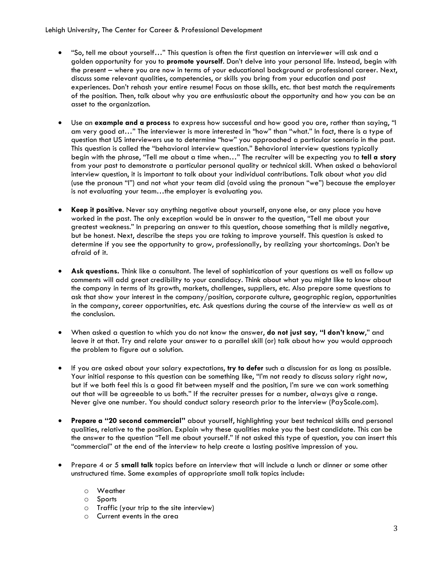Lehigh University, The Center for Career & Professional Development

- "So, tell me about yourself…" This question is often the first question an interviewer will ask and a golden opportunity for you to **promote yourself**. Don't delve into your personal life. Instead, begin with the present – where you are now in terms of your educational background or professional career. Next, discuss some relevant qualities, competencies, or skills you bring from your education and past experiences. Don't rehash your entire resume! Focus on those skills, etc. that best match the requirements of the position. Then, talk about why you are enthusiastic about the opportunity and how you can be an asset to the organization.
- Use an **example and a process** to express how successful and how good you are, rather than saying, "I am very good at…" The interviewer is more interested in "how" than "what." In fact, there is a type of question that US interviewers use to determine "how" you approached a particular scenario in the past. This question is called the "behavioral interview question." Behavioral interview questions typically begin with the phrase, "Tell me about a time when…" The recruiter will be expecting you to **tell a story** from your past to demonstrate a particular personal quality or technical skill. When asked a behavioral interview question, it is important to talk about your individual contributions. Talk about what *you* did (use the pronoun "I") and not what your team did (avoid using the pronoun "we") because the employer is not evaluating your team…the employer is evaluating *you*.
- **Keep it positive**. Never say anything negative about yourself, anyone else, or any place you have worked in the past. The only exception would be in answer to the question, "Tell me about your greatest weakness." In preparing an answer to this question, choose something that is mildly negative, but be honest. Next, describe the steps you are taking to improve yourself. This question is asked to determine if you see the opportunity to grow, professionally, by realizing your shortcomings. Don't be afraid of it.
- **Ask questions.** Think like a consultant. The level of sophistication of your questions as well as follow up comments will add great credibility to your candidacy. Think about what you might like to know about the company in terms of its growth, markets, challenges, suppliers, etc. Also prepare some questions to ask that show your interest in the company/position, corporate culture, geographic region, opportunities in the company, career opportunities, etc. Ask questions during the course of the interview as well as at the conclusion.
- When asked a question to which you do not know the answer, **do not just say, "I don't know**," and leave it at that. Try and relate your answer to a parallel skill (or) talk about how you would approach the problem to figure out a solution.
- If you are asked about your salary expectations, **try to defer** such a discussion for as long as possible. Your initial response to this question can be something like, "I'm not ready to discuss salary right now, but if we both feel this is a good fit between myself and the position, I'm sure we can work something out that will be agreeable to us both." If the recruiter presses for a number, always give a range. Never give one number. You should conduct salary research prior to the interview (PayScale.com).
- **Prepare a "20 second commercial"** about yourself, highlighting your best technical skills and personal qualities, relative to the position. Explain why these qualities make you the best candidate. This can be the answer to the question "Tell me about yourself." If not asked this type of question, you can insert this "commercial" at the end of the interview to help create a lasting positive impression of you.
- Prepare 4 or 5 **small talk** topics before an interview that will include a lunch or dinner or some other unstructured time. Some examples of appropriate small talk topics include:
	- o Weather
	- o Sports
	- o Traffic (your trip to the site interview)
	- o Current events in the area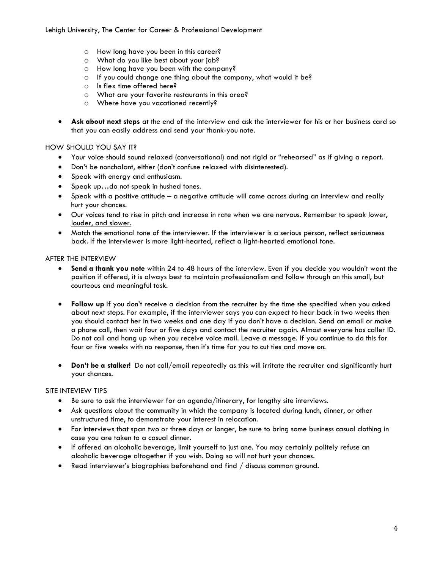Lehigh University, The Center for Career & Professional Development

- o How long have you been in this career?
- o What do you like best about your job?
- o How long have you been with the company?
- o If you could change one thing about the company, what would it be?
- o Is flex time offered here?
- o What are your favorite restaurants in this area?
- o Where have you vacationed recently?
- **Ask about next steps** at the end of the interview and ask the interviewer for his or her business card so that you can easily address and send your thank-you note.

#### HOW SHOULD YOU SAY IT?

- Your voice should sound relaxed (conversational) and not rigid or "rehearsed" as if giving a report.
- Don't be nonchalant, either (don't confuse relaxed with disinterested).
- Speak with energy and enthusiasm.
- Speak up...do not speak in hushed tones.
- Speak with a positive attitude a negative attitude will come across during an interview and really hurt your chances.
- Our voices tend to rise in pitch and increase in rate when we are nervous. Remember to speak lower, louder, and slower.
- Match the emotional tone of the interviewer. If the interviewer is a serious person, reflect seriousness back. If the interviewer is more light-hearted, reflect a light-hearted emotional tone.

#### AFTER THE INTERVIEW

- **Send a thank you note** within 24 to 48 hours of the interview. Even if you decide you wouldn't want the position if offered, it is always best to maintain professionalism and follow through on this small, but courteous and meaningful task.
- **Follow up** if you don't receive a decision from the recruiter by the time she specified when you asked about next steps. For example, if the interviewer says you can expect to hear back in two weeks then you should contact her in two weeks and one day if you don't have a decision. Send an email or make a phone call, then wait four or five days and contact the recruiter again. Almost everyone has caller ID. Do not call and hang up when you receive voice mail. Leave a message. If you continue to do this for four or five weeks with no response, then it's time for you to cut ties and move on.
- **Don't be a stalker!** Do not call/email repeatedly as this will irritate the recruiter and significantly hurt your chances.

#### SITE INTEVIEW TIPS

- Be sure to ask the interviewer for an agenda/itinerary, for lengthy site interviews.
- Ask questions about the community in which the company is located during lunch, dinner, or other unstructured time, to demonstrate your interest in relocation.
- For interviews that span two or three days or longer, be sure to bring some business casual clothing in case you are taken to a casual dinner.
- If offered an alcoholic beverage, limit yourself to just one. You may certainly politely refuse an alcoholic beverage altogether if you wish. Doing so will not hurt your chances.
- Read interviewer's biographies beforehand and find / discuss common ground.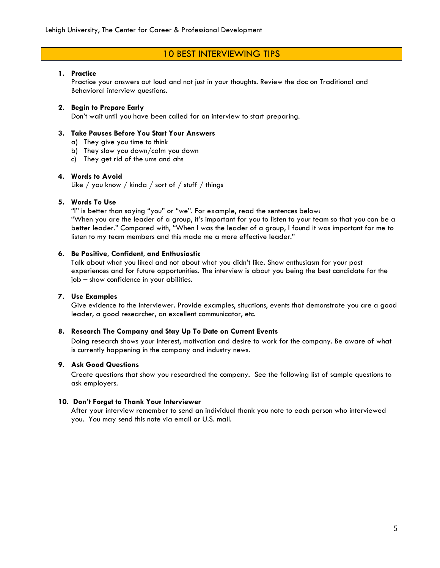# 10 BEST INTERVIEWING TIPS

#### **1. Practice**

Practice your answers out loud and not just in your thoughts. Review the doc on Traditional and Behavioral interview questions.

### **2. Begin to Prepare Early**

Don't wait until you have been called for an interview to start preparing.

#### **3. Take Pauses Before You Start Your Answers**

- a) They give you time to think
- b) They slow you down/calm you down
- c) They get rid of the ums and ahs

### **4. Words to Avoid**

Like / you know / kinda / sort of / stuff / things

### **5. Words To Use**

"I" is better than saying "you" or "we". For example, read the sentences below:

"When you are the leader of a group, it's important for you to listen to your team so that you can be a better leader." Compared with, "When I was the leader of a group, I found it was important for me to listen to my team members and this made me a more effective leader."

### **6. Be Positive, Confident, and Enthusiastic**

Talk about what you liked and not about what you didn't like. Show enthusiasm for your past experiences and for future opportunities. The interview is about you being the best candidate for the job – show confidence in your abilities.

## **7. Use Examples**

Give evidence to the interviewer. Provide examples, situations, events that demonstrate you are a good leader, a good researcher, an excellent communicator, etc.

## **8. Research The Company and Stay Up To Date on Current Events**

Doing research shows your interest, motivation and desire to work for the company. Be aware of what is currently happening in the company and industry news.

## **9. Ask Good Questions**

Create questions that show you researched the company. See the following list of sample questions to ask employers.

#### **10. Don't Forget to Thank Your Interviewer**

After your interview remember to send an individual thank you note to each person who interviewed you. You may send this note via email or U.S. mail.